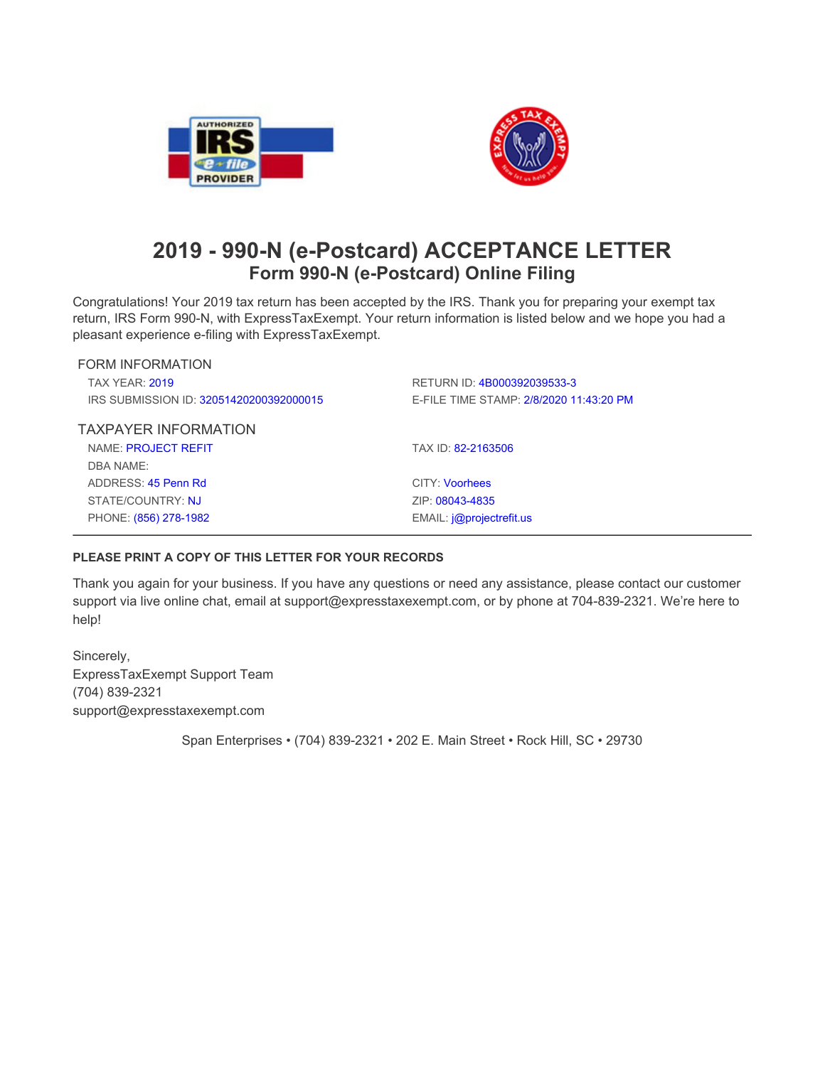



## **2019 - 990-N (e-Postcard) ACCEPTANCE LETTER Form 990-N (e-Postcard) Online Filing**

Congratulations! Your 2019 tax return has been accepted by the IRS. Thank you for preparing your exempt tax return, IRS Form 990-N, with ExpressTaxExempt. Your return information is listed below and we hope you had a **pleasant experience e-filing with ExpressTaxExempt.**

| FORM INFORMATION                        |                                         |
|-----------------------------------------|-----------------------------------------|
| <b>TAX YFAR: 2019</b>                   | RETURN ID: 4B000392039533-3             |
| IRS SUBMISSION ID: 32051420200392000015 | E-FILE TIME STAMP: 2/8/2020 11:43:20 PM |
| <b>TAXPAYER INFORMATION</b>             |                                         |
| NAME: PROJECT REFIT                     | TAX ID: 82-2163506                      |
| DBA NAME:                               |                                         |
| ADDRESS: $45$ Penn Rd                   | <b>CITY: Voorhees</b>                   |
| STATE/COUNTRY: NJ                       | ZIP: 08043-4835                         |
| PHONE: (856) 278-1982                   | EMAIL: <i>i</i> @projectrefit.us        |
|                                         |                                         |

## **PLEASE PRINT A COPY OF THIS LETTER FOR YOUR RECORDS**

Thank you again for your business. If you have any questions or need any assistance, please contact our customer **support via live online chat, email at support@expresstaxexempt.com, or by phone at 704-839-2321. We're here to help!**

**Sincerely, ExpressTaxExempt Support Team (704) 839-2321 support@expresstaxexempt.com**

**Span Enterprises • (704) 839-2321 • 202 E. Main Street • Rock Hill, SC • 29730**